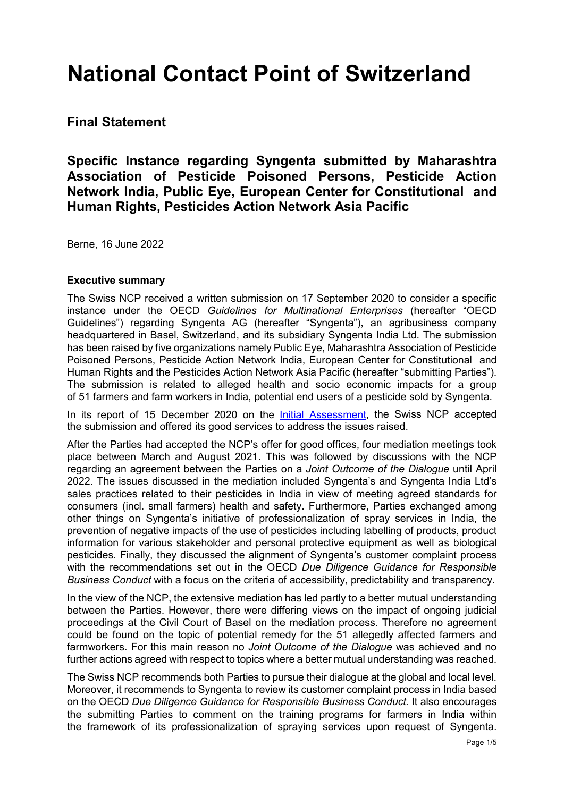# **National Contact Point of Switzerland**

# **Final Statement**

**Specific Instance regarding Syngenta submitted by Maharashtra Association of Pesticide Poisoned Persons, Pesticide Action Network India, Public Eye, European Center for Constitutional and Human Rights, Pesticides Action Network Asia Pacific**

Berne, 16 June 2022

#### **Executive summary**

The Swiss NCP received a written submission on 17 September 2020 to consider a specific instance under the OECD *Guidelines for Multinational Enterprises* (hereafter "OECD Guidelines") regarding Syngenta AG (hereafter "Syngenta"), an agribusiness company headquartered in Basel, Switzerland, and its subsidiary Syngenta India Ltd. The submission has been raised by five organizations namely Public Eye, Maharashtra Association of Pesticide Poisoned Persons, Pesticide Action Network India, European Center for Constitutional and Human Rights and the Pesticides Action Network Asia Pacific (hereafter "submitting Parties"). The submission is related to alleged health and socio economic impacts for a group of 51 farmers and farm workers in India, potential end users of a pesticide sold by Syngenta.

In its report of 15 December 2020 on the [Initial Assessment,](https://www.seco.admin.ch/dam/seco/en/dokumente/Aussenwirtschaft/Wirtschaftsbeziehungen/NKP/Statements_konkrete_F%C3%A4lle/syngenta_2020/syngenta_2020_initial_assessment.pdf.download.pdf/Swiss%20NCP_Initial_Assessment_Syngenta_forpublication.pdf) the Swiss NCP accepted the submission and offered its good services to address the issues raised.

After the Parties had accepted the NCP's offer for good offices, four mediation meetings took place between March and August 2021. This was followed by discussions with the NCP regarding an agreement between the Parties on a *Joint Outcome of the Dialogue* until April 2022. The issues discussed in the mediation included Syngenta's and Syngenta India Ltd's sales practices related to their pesticides in India in view of meeting agreed standards for consumers (incl. small farmers) health and safety. Furthermore, Parties exchanged among other things on Syngenta's initiative of professionalization of spray services in India, the prevention of negative impacts of the use of pesticides including labelling of products, product information for various stakeholder and personal protective equipment as well as biological pesticides. Finally, they discussed the alignment of Syngenta's customer complaint process with the recommendations set out in the OECD *Due Diligence Guidance for Responsible Business Conduct* with a focus on the criteria of accessibility, predictability and transparency.

In the view of the NCP, the extensive mediation has led partly to a better mutual understanding between the Parties. However, there were differing views on the impact of ongoing judicial proceedings at the Civil Court of Basel on the mediation process. Therefore no agreement could be found on the topic of potential remedy for the 51 allegedly affected farmers and farmworkers. For this main reason no *Joint Outcome of the Dialogue* was achieved and no further actions agreed with respect to topics where a better mutual understanding was reached.

The Swiss NCP recommends both Parties to pursue their dialogue at the global and local level. Moreover, it recommends to Syngenta to review its customer complaint process in India based on the OECD *Due Diligence Guidance for Responsible Business Conduct.* It also encourages the submitting Parties to comment on the training programs for farmers in India within the framework of its professionalization of spraying services upon request of Syngenta.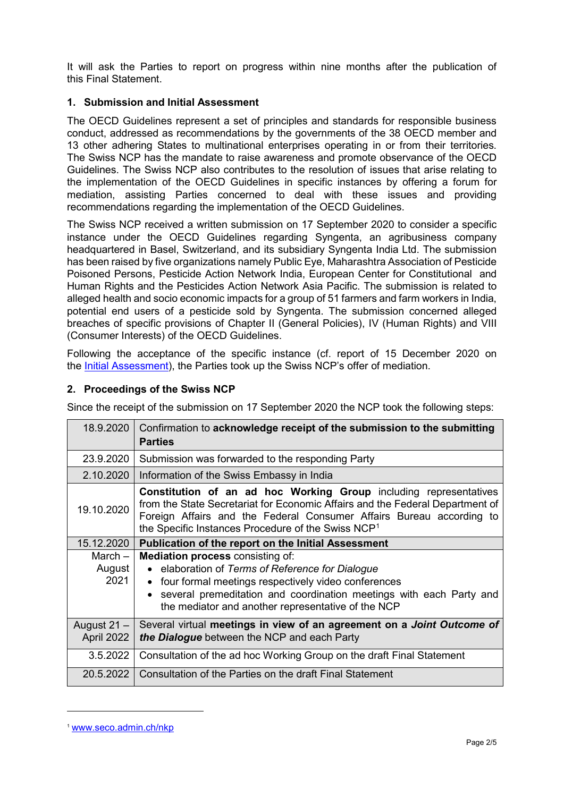It will ask the Parties to report on progress within nine months after the publication of this Final Statement.

## **1. Submission and Initial Assessment**

The OECD Guidelines represent a set of principles and standards for responsible business conduct, addressed as recommendations by the governments of the 38 OECD member and 13 other adhering States to multinational enterprises operating in or from their territories. The Swiss NCP has the mandate to raise awareness and promote observance of the OECD Guidelines. The Swiss NCP also contributes to the resolution of issues that arise relating to the implementation of the OECD Guidelines in specific instances by offering a forum for mediation, assisting Parties concerned to deal with these issues and providing recommendations regarding the implementation of the OECD Guidelines.

The Swiss NCP received a written submission on 17 September 2020 to consider a specific instance under the OECD Guidelines regarding Syngenta, an agribusiness company headquartered in Basel, Switzerland, and its subsidiary Syngenta India Ltd. The submission has been raised by five organizations namely Public Eye, Maharashtra Association of Pesticide Poisoned Persons, Pesticide Action Network India, European Center for Constitutional and Human Rights and the Pesticides Action Network Asia Pacific. The submission is related to alleged health and socio economic impacts for a group of 51 farmers and farm workers in India, potential end users of a pesticide sold by Syngenta. The submission concerned alleged breaches of specific provisions of Chapter II (General Policies), IV (Human Rights) and VIII (Consumer Interests) of the OECD Guidelines.

Following the acceptance of the specific instance (cf. report of 15 December 2020 on the [Initial Assessment\)](https://www.seco.admin.ch/dam/seco/en/dokumente/Aussenwirtschaft/Wirtschaftsbeziehungen/NKP/Statements_konkrete_F%C3%A4lle/syngenta_2020/syngenta_2020_initial_assessment.pdf.download.pdf/Swiss%20NCP_Initial_Assessment_Syngenta_forpublication.pdf), the Parties took up the Swiss NCP's offer of mediation.

# **2. Proceedings of the Swiss NCP**

Since the receipt of the submission on 17 September 2020 the NCP took the following steps:

| 18.9.2020                   | Confirmation to acknowledge receipt of the submission to the submitting<br><b>Parties</b>                                                                                                                                                                                                           |
|-----------------------------|-----------------------------------------------------------------------------------------------------------------------------------------------------------------------------------------------------------------------------------------------------------------------------------------------------|
| 23.9.2020                   | Submission was forwarded to the responding Party                                                                                                                                                                                                                                                    |
| 2.10.2020                   | Information of the Swiss Embassy in India                                                                                                                                                                                                                                                           |
| 19.10.2020                  | <b>Constitution of an ad hoc Working Group</b> including representatives<br>from the State Secretariat for Economic Affairs and the Federal Department of<br>Foreign Affairs and the Federal Consumer Affairs Bureau according to<br>the Specific Instances Procedure of the Swiss NCP <sup>1</sup> |
| 15.12.2020                  | <b>Publication of the report on the Initial Assessment</b>                                                                                                                                                                                                                                          |
| $March -$<br>August<br>2021 | <b>Mediation process consisting of:</b><br>• elaboration of Terms of Reference for Dialogue<br>four formal meetings respectively video conferences<br>several premeditation and coordination meetings with each Party and<br>$\bullet$<br>the mediator and another representative of the NCP        |
| August $21 -$<br>April 2022 | Several virtual meetings in view of an agreement on a Joint Outcome of<br>the Dialogue between the NCP and each Party                                                                                                                                                                               |
| 3.5.2022                    | Consultation of the ad hoc Working Group on the draft Final Statement                                                                                                                                                                                                                               |
| 20.5.2022                   | Consultation of the Parties on the draft Final Statement                                                                                                                                                                                                                                            |

<span id="page-1-0"></span><sup>1</sup> [www.seco.admin.ch/nkp](http://www.seco.admin.ch/nkp)

 $\ddot{\phantom{a}}$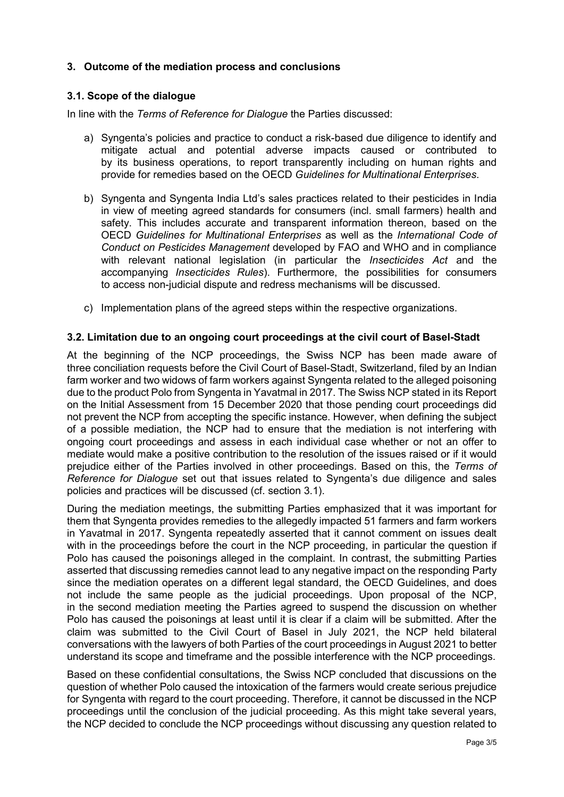## **3. Outcome of the mediation process and conclusions**

#### **3.1. Scope of the dialogue**

In line with the *Terms of Reference for Dialogue* the Parties discussed:

- a) Syngenta's policies and practice to conduct a risk-based due diligence to identify and mitigate actual and potential adverse impacts caused or contributed to by its business operations, to report transparently including on human rights and provide for remedies based on the OECD *Guidelines for Multinational Enterprises*.
- b) Syngenta and Syngenta India Ltd's sales practices related to their pesticides in India in view of meeting agreed standards for consumers (incl. small farmers) health and safety. This includes accurate and transparent information thereon, based on the OECD *Guidelines for Multinational Enterprises* as well as the *International Code of Conduct on Pesticides Management* developed by FAO and WHO and in compliance with relevant national legislation (in particular the *Insecticides Act* and the accompanying *Insecticides Rules*). Furthermore, the possibilities for consumers to access non-judicial dispute and redress mechanisms will be discussed.
- c) Implementation plans of the agreed steps within the respective organizations.

#### **3.2. Limitation due to an ongoing court proceedings at the civil court of Basel-Stadt**

At the beginning of the NCP proceedings, the Swiss NCP has been made aware of three conciliation requests before the Civil Court of Basel-Stadt, Switzerland, filed by an Indian farm worker and two widows of farm workers against Syngenta related to the alleged poisoning due to the product Polo from Syngenta in Yavatmal in 2017. The Swiss NCP stated in its Report on the Initial Assessment from 15 December 2020 that those pending court proceedings did not prevent the NCP from accepting the specific instance. However, when defining the subject of a possible mediation, the NCP had to ensure that the mediation is not interfering with ongoing court proceedings and assess in each individual case whether or not an offer to mediate would make a positive contribution to the resolution of the issues raised or if it would prejudice either of the Parties involved in other proceedings. Based on this, the *Terms of Reference for Dialogue* set out that issues related to Syngenta's due diligence and sales policies and practices will be discussed (cf. section 3.1).

During the mediation meetings, the submitting Parties emphasized that it was important for them that Syngenta provides remedies to the allegedly impacted 51 farmers and farm workers in Yavatmal in 2017. Syngenta repeatedly asserted that it cannot comment on issues dealt with in the proceedings before the court in the NCP proceeding, in particular the question if Polo has caused the poisonings alleged in the complaint. In contrast, the submitting Parties asserted that discussing remedies cannot lead to any negative impact on the responding Party since the mediation operates on a different legal standard, the OECD Guidelines, and does not include the same people as the judicial proceedings. Upon proposal of the NCP, in the second mediation meeting the Parties agreed to suspend the discussion on whether Polo has caused the poisonings at least until it is clear if a claim will be submitted. After the claim was submitted to the Civil Court of Basel in July 2021, the NCP held bilateral conversations with the lawyers of both Parties of the court proceedings in August 2021 to better understand its scope and timeframe and the possible interference with the NCP proceedings.

Based on these confidential consultations, the Swiss NCP concluded that discussions on the question of whether Polo caused the intoxication of the farmers would create serious prejudice for Syngenta with regard to the court proceeding. Therefore, it cannot be discussed in the NCP proceedings until the conclusion of the judicial proceeding. As this might take several years, the NCP decided to conclude the NCP proceedings without discussing any question related to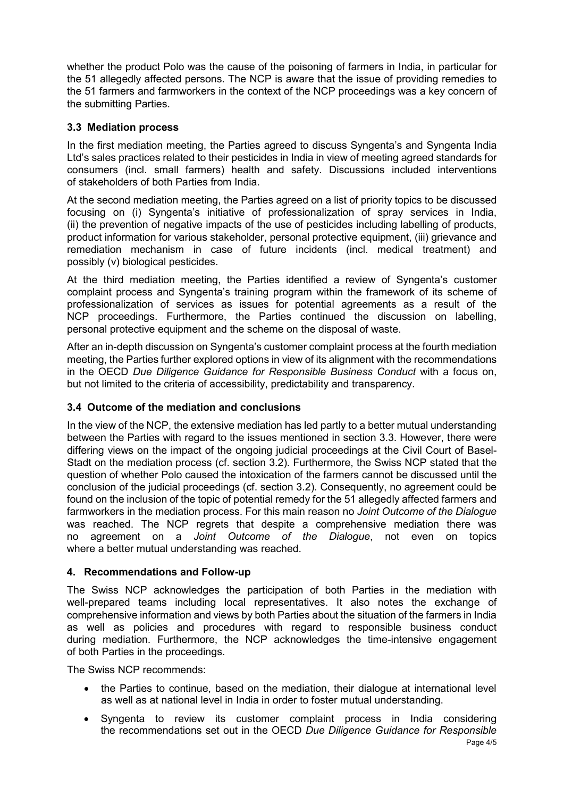whether the product Polo was the cause of the poisoning of farmers in India, in particular for the 51 allegedly affected persons. The NCP is aware that the issue of providing remedies to the 51 farmers and farmworkers in the context of the NCP proceedings was a key concern of the submitting Parties.

# **3.3 Mediation process**

In the first mediation meeting, the Parties agreed to discuss Syngenta's and Syngenta India Ltd's sales practices related to their pesticides in India in view of meeting agreed standards for consumers (incl. small farmers) health and safety. Discussions included interventions of stakeholders of both Parties from India.

At the second mediation meeting, the Parties agreed on a list of priority topics to be discussed focusing on (i) Syngenta's initiative of professionalization of spray services in India, (ii) the prevention of negative impacts of the use of pesticides including labelling of products, product information for various stakeholder, personal protective equipment, (iii) grievance and remediation mechanism in case of future incidents (incl. medical treatment) and possibly (v) biological pesticides.

At the third mediation meeting, the Parties identified a review of Syngenta's customer complaint process and Syngenta's training program within the framework of its scheme of professionalization of services as issues for potential agreements as a result of the NCP proceedings. Furthermore, the Parties continued the discussion on labelling, personal protective equipment and the scheme on the disposal of waste.

After an in-depth discussion on Syngenta's customer complaint process at the fourth mediation meeting, the Parties further explored options in view of its alignment with the recommendations in the OECD *Due Diligence Guidance for Responsible Business Conduct* with a focus on, but not limited to the criteria of accessibility, predictability and transparency.

# **3.4 Outcome of the mediation and conclusions**

In the view of the NCP, the extensive mediation has led partly to a better mutual understanding between the Parties with regard to the issues mentioned in section 3.3. However, there were differing views on the impact of the ongoing judicial proceedings at the Civil Court of Basel-Stadt on the mediation process (cf. section 3.2). Furthermore, the Swiss NCP stated that the question of whether Polo caused the intoxication of the farmers cannot be discussed until the conclusion of the judicial proceedings (cf. section 3.2). Consequently, no agreement could be found on the inclusion of the topic of potential remedy for the 51 allegedly affected farmers and farmworkers in the mediation process. For this main reason no *Joint Outcome of the Dialogue* was reached. The NCP regrets that despite a comprehensive mediation there was no agreement on a *Joint Outcome of the Dialogue*, not even on topics where a better mutual understanding was reached.

#### **4. Recommendations and Follow-up**

The Swiss NCP acknowledges the participation of both Parties in the mediation with well-prepared teams including local representatives. It also notes the exchange of comprehensive information and views by both Parties about the situation of the farmers in India as well as policies and procedures with regard to responsible business conduct during mediation. Furthermore, the NCP acknowledges the time-intensive engagement of both Parties in the proceedings.

The Swiss NCP recommends:

- the Parties to continue, based on the mediation, their dialogue at international level as well as at national level in India in order to foster mutual understanding.
- Syngenta to review its customer complaint process in India considering the recommendations set out in the OECD *Due Diligence Guidance for Responsible*